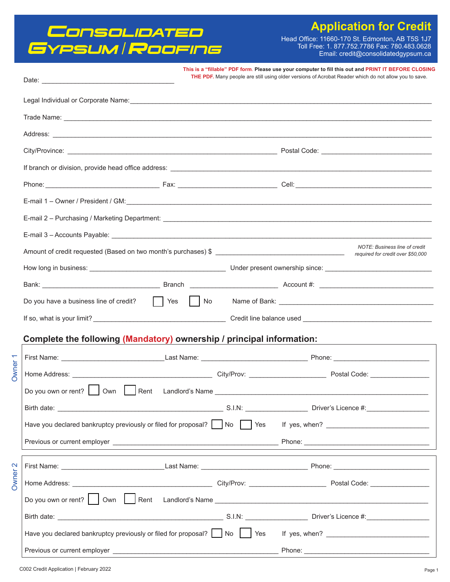## Consolibated<br>Gypsum/Roofing

### **Application for Credit**

Head Office: 11660-170 St. Edmonton, AB T5S 1J7<br>Toll Free: 1. 877.752.7786 Fax: 780.483.0628<br>Email: credit@consolidatedgypsum.ca

|                                                                                                                                                                                                                                |  | This is a "fillable" PDF form. Please use your computer to fill this out and PRINT IT BEFORE CLOSING<br>THE PDF. Many people are still using older versions of Acrobat Reader which do not allow you to save.                       |  |  |
|--------------------------------------------------------------------------------------------------------------------------------------------------------------------------------------------------------------------------------|--|-------------------------------------------------------------------------------------------------------------------------------------------------------------------------------------------------------------------------------------|--|--|
|                                                                                                                                                                                                                                |  |                                                                                                                                                                                                                                     |  |  |
|                                                                                                                                                                                                                                |  |                                                                                                                                                                                                                                     |  |  |
|                                                                                                                                                                                                                                |  | Address: <u>Address:</u> Address: Address: Address: Address: Address: Address: Address: Address: Address: Address: Address: Address: Address: Address: Address: Address: Address: Address: Address: Address: Address: Address: Addr |  |  |
|                                                                                                                                                                                                                                |  |                                                                                                                                                                                                                                     |  |  |
|                                                                                                                                                                                                                                |  |                                                                                                                                                                                                                                     |  |  |
|                                                                                                                                                                                                                                |  |                                                                                                                                                                                                                                     |  |  |
|                                                                                                                                                                                                                                |  |                                                                                                                                                                                                                                     |  |  |
|                                                                                                                                                                                                                                |  | E-mail 2 - Purchasing / Marketing Department: ___________________________________                                                                                                                                                   |  |  |
| E-mail 3 - Accounts Payable: Department of the Contract of the Contract of the Contract of the Contract of the Contract of the Contract of the Contract of the Contract of the Contract of the Contract of the Contract of the |  |                                                                                                                                                                                                                                     |  |  |
|                                                                                                                                                                                                                                |  | NOTE: Business line of credit                                                                                                                                                                                                       |  |  |
|                                                                                                                                                                                                                                |  |                                                                                                                                                                                                                                     |  |  |
|                                                                                                                                                                                                                                |  |                                                                                                                                                                                                                                     |  |  |
|                                                                                                                                                                                                                                |  | Do you have a business line of credit? Thes New Yes Name of Bank: Name of Bank:                                                                                                                                                     |  |  |
|                                                                                                                                                                                                                                |  |                                                                                                                                                                                                                                     |  |  |
| Complete the following (Mandatory) ownership / principal information:                                                                                                                                                          |  |                                                                                                                                                                                                                                     |  |  |
|                                                                                                                                                                                                                                |  |                                                                                                                                                                                                                                     |  |  |
|                                                                                                                                                                                                                                |  |                                                                                                                                                                                                                                     |  |  |
| Do you own or rent? Own Rent Landlord's Name ___________________________________                                                                                                                                               |  |                                                                                                                                                                                                                                     |  |  |
|                                                                                                                                                                                                                                |  |                                                                                                                                                                                                                                     |  |  |
| Have you declared bankruptcy previously or filed for proposal?   No   Yes If yes, when? _ _ _ _ _ _ _ _ _ _ _ _ _ _ _                                                                                                          |  |                                                                                                                                                                                                                                     |  |  |
|                                                                                                                                                                                                                                |  |                                                                                                                                                                                                                                     |  |  |
|                                                                                                                                                                                                                                |  |                                                                                                                                                                                                                                     |  |  |
|                                                                                                                                                                                                                                |  |                                                                                                                                                                                                                                     |  |  |
|                                                                                                                                                                                                                                |  | Do you own or rent?     Own   Rent Landlord's Name ______________________________                                                                                                                                                   |  |  |
|                                                                                                                                                                                                                                |  |                                                                                                                                                                                                                                     |  |  |
| Have you declared bankruptcy previously or filed for proposal?   No   Yes If yes, when? ______________________                                                                                                                 |  |                                                                                                                                                                                                                                     |  |  |
|                                                                                                                                                                                                                                |  |                                                                                                                                                                                                                                     |  |  |

Owner<sub>1</sub>

Owner<sub>2</sub>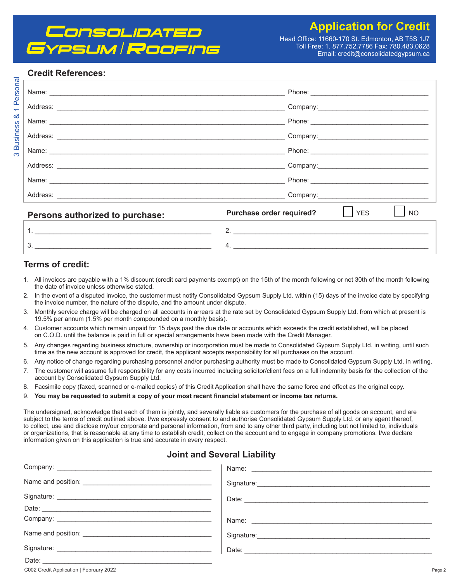## *CNSOLIDATED* PSUM Roofing

Head Office: 11660-170 St. Edmonton, AB T5S 1J7 Toll Free: 1. 877.752.7786 Fax: 780.483.0628 Email: credit@consolidatedgypsum.ca

#### **Credit References:**

| Persons authorized to purchase: | Purchase order required?<br><b>YES</b><br><b>NO</b> |
|---------------------------------|-----------------------------------------------------|
|                                 | 2.                                                  |
| २                               | Δ                                                   |

#### Terms of credit:

- 1. All invoices are payable with a 1% discount (credit card payments exempt) on the 15th of the month following or net 30th of the month following the date of invoice unless otherwise stated.
- 2. In the event of a disputed invoice, the customer must notify Consolidated Gypsum Supply Ltd. within (15) days of the invoice date by specifying the invoice number, the nature of the dispute, and the amount under dispute.
- 3. Monthly service charge will be charged on all accounts in arrears at the rate set by Consolidated Gypsum Supply Ltd. from which at present is 19.5% per annum (1.5% per month compounded on a monthly basis).
- 4. Customer accounts which remain unpaid for 15 days past the due date or accounts which exceeds the credit established, will be placed on C.O.D. until the balance is paid in full or special arrangements have been made with the Credit Manager.
- Any changes regarding business structure, ownership or incorporation must be made to Consolidated Gypsum Supply Ltd. in writing, until such 5. time as the new account is approved for credit, the applicant accepts responsibility for all purchases on the account.
- 6. Any notice of change regarding purchasing personnel and/or purchasing authority must be made to Consolidated Gypsum Supply Ltd. in writing.
- The customer will assume full responsibility for any costs incurred including solicitor/client fees on a full indemnity basis for the collection of the  $7<sub>1</sub>$ account by Consolidated Gypsum Supply Ltd.
- Facsimile copy (faxed, scanned or e-mailed copies) of this Credit Application shall have the same force and effect as the original copy. 8.
- 9. You may be requested to submit a copy of your most recent financial statement or income tax returns.

The undersigned, acknowledge that each of them is jointly, and severally liable as customers for the purchase of all goods on account, and are subject to the terms of credit outlined above. I/we expressly consent to and authorise Consolidated Gypsum Supply Ltd. or any agent thereof, to collect, use and disclose my/our corporate and personal information, from and to any other third party, including but not limited to, individuals or organizations, that is reasonable at any time to establish credit, collect on the account and to engage in company promotions. I/we declare information given on this application is true and accurate in every respect.

#### **Joint and Several Liability**

| Signature: <u>Contractor Communication</u>                                                                                                                                                                                     |
|--------------------------------------------------------------------------------------------------------------------------------------------------------------------------------------------------------------------------------|
|                                                                                                                                                                                                                                |
|                                                                                                                                                                                                                                |
|                                                                                                                                                                                                                                |
| Signature: Note and the second state of the second state of the second state of the second state of the second state of the second state of the second state of the second state of the second state of the second state of th |
|                                                                                                                                                                                                                                |
|                                                                                                                                                                                                                                |
|                                                                                                                                                                                                                                |

C002 Credit Application | February 2022